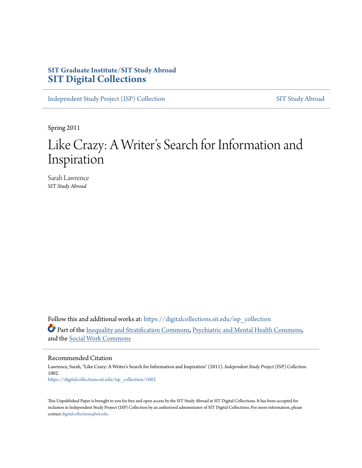# **SIT Graduate Institute/SIT Study Abroad [SIT Digital Collections](https://digitalcollections.sit.edu?utm_source=digitalcollections.sit.edu%2Fisp_collection%2F1002&utm_medium=PDF&utm_campaign=PDFCoverPages)**

[Independent Study Project \(ISP\) Collection](https://digitalcollections.sit.edu/isp_collection?utm_source=digitalcollections.sit.edu%2Fisp_collection%2F1002&utm_medium=PDF&utm_campaign=PDFCoverPages) [SIT Study Abroad](https://digitalcollections.sit.edu/study_abroad?utm_source=digitalcollections.sit.edu%2Fisp_collection%2F1002&utm_medium=PDF&utm_campaign=PDFCoverPages)

Spring 2011

# Like Crazy: A Writer 's Search for Information and Inspiration

Sarah Lawrence *SIT Study Abroad*

Follow this and additional works at: [https://digitalcollections.sit.edu/isp\\_collection](https://digitalcollections.sit.edu/isp_collection?utm_source=digitalcollections.sit.edu%2Fisp_collection%2F1002&utm_medium=PDF&utm_campaign=PDFCoverPages) Part of the [Inequality and Stratification Commons,](http://network.bepress.com/hgg/discipline/421?utm_source=digitalcollections.sit.edu%2Fisp_collection%2F1002&utm_medium=PDF&utm_campaign=PDFCoverPages) [Psychiatric and Mental Health Commons](http://network.bepress.com/hgg/discipline/711?utm_source=digitalcollections.sit.edu%2Fisp_collection%2F1002&utm_medium=PDF&utm_campaign=PDFCoverPages), and the [Social Work Commons](http://network.bepress.com/hgg/discipline/713?utm_source=digitalcollections.sit.edu%2Fisp_collection%2F1002&utm_medium=PDF&utm_campaign=PDFCoverPages)

Recommended Citation

Lawrence, Sarah, "Like Crazy: A Writer's Search for Information and Inspiration" (2011). *Independent Study Project (ISP) Collection*. 1002. [https://digitalcollections.sit.edu/isp\\_collection/1002](https://digitalcollections.sit.edu/isp_collection/1002?utm_source=digitalcollections.sit.edu%2Fisp_collection%2F1002&utm_medium=PDF&utm_campaign=PDFCoverPages)

This Unpublished Paper is brought to you for free and open access by the SIT Study Abroad at SIT Digital Collections. It has been accepted for inclusion in Independent Study Project (ISP) Collection by an authorized administrator of SIT Digital Collections. For more information, please contact [digitalcollections@sit.edu](mailto:digitalcollections@sit.edu).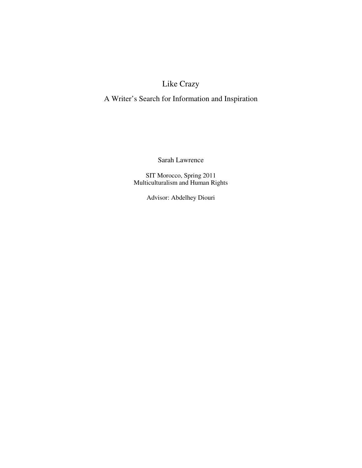# Like Crazy

# A Writer's Search for Information and Inspiration

Sarah Lawrence

SIT Morocco, Spring 2011 Multiculturalism and Human Rights

Advisor: Abdelhey Diouri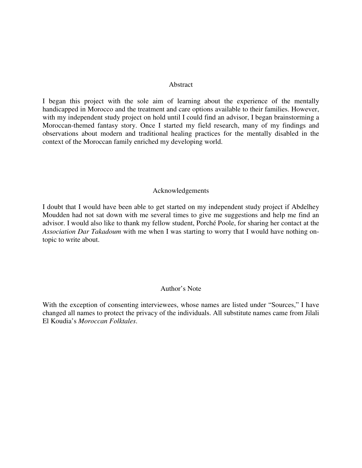#### Abstract

I began this project with the sole aim of learning about the experience of the mentally handicapped in Morocco and the treatment and care options available to their families. However, with my independent study project on hold until I could find an advisor, I began brainstorming a Moroccan-themed fantasy story. Once I started my field research, many of my findings and observations about modern and traditional healing practices for the mentally disabled in the context of the Moroccan family enriched my developing world.

### Acknowledgements

I doubt that I would have been able to get started on my independent study project if Abdelhey Moudden had not sat down with me several times to give me suggestions and help me find an advisor. I would also like to thank my fellow student, Porché Poole, for sharing her contact at the *Association Dar Takadoum* with me when I was starting to worry that I would have nothing ontopic to write about.

### Author's Note

With the exception of consenting interviewees, whose names are listed under "Sources," I have changed all names to protect the privacy of the individuals. All substitute names came from Jilali El Koudia's *Moroccan Folktales*.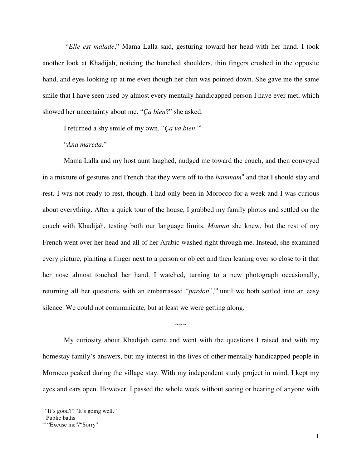"*Elle est malade*," Mama Lalla said, gesturing toward her head with her hand. I took another look at Khadijah, noticing the hunched shoulders, thin fingers crushed in the opposite hand, and eyes looking up at me even though her chin was pointed down. She gave me the same smile that I have seen used by almost every mentally handicapped person I have ever met, which showed her uncertainty about me. "*Ça bien*?" she asked.

I returned a shy smile of my own. "*Ça va bien*."<sup>i</sup>

### "*Ana mareda*."

Mama Lalla and my host aunt laughed, nudged me toward the couch, and then conveyed in a mixture of gestures and French that they were off to the *hammam*ii and that I should stay and rest. I was not ready to rest, though. I had only been in Morocco for a week and I was curious about everything. After a quick tour of the house, I grabbed my family photos and settled on the couch with Khadijah, testing both our language limits. *Maman* she knew, but the rest of my French went over her head and all of her Arabic washed right through me. Instead, she examined every picture, planting a finger next to a person or object and then leaning over so close to it that her nose almost touched her hand. I watched, turning to a new photograph occasionally, returning all her questions with an embarrassed "*pardon*", iii until we both settled into an easy silence. We could not communicate, but at least we were getting along.

My curiosity about Khadijah came and went with the questions I raised and with my homestay family's answers, but my interest in the lives of other mentally handicapped people in Morocco peaked during the village stay. With my independent study project in mind, I kept my eyes and ears open. However, I passed the whole week without seeing or hearing of anyone with

 $\sim\sim\sim$ 

<sup>&</sup>lt;sup>i</sup> "It's good?" "It's going well."

ii Public baths

iii "Excuse me"/"Sorry"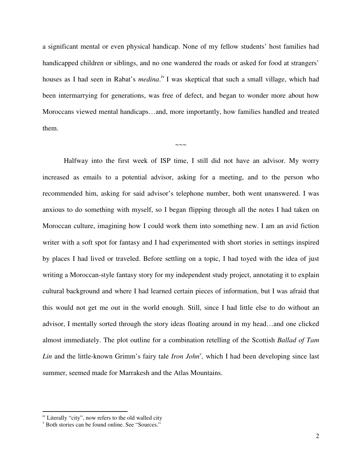a significant mental or even physical handicap. None of my fellow students' host families had handicapped children or siblings, and no one wandered the roads or asked for food at strangers' houses as I had seen in Rabat's *medina*.<sup>iv</sup> I was skeptical that such a small village, which had been intermarrying for generations, was free of defect, and began to wonder more about how Moroccans viewed mental handicaps…and, more importantly, how families handled and treated them.

 $\sim\sim\sim$ 

Halfway into the first week of ISP time, I still did not have an advisor. My worry increased as emails to a potential advisor, asking for a meeting, and to the person who recommended him, asking for said advisor's telephone number, both went unanswered. I was anxious to do something with myself, so I began flipping through all the notes I had taken on Moroccan culture, imagining how I could work them into something new. I am an avid fiction writer with a soft spot for fantasy and I had experimented with short stories in settings inspired by places I had lived or traveled. Before settling on a topic, I had toyed with the idea of just writing a Moroccan-style fantasy story for my independent study project, annotating it to explain cultural background and where I had learned certain pieces of information, but I was afraid that this would not get me out in the world enough. Still, since I had little else to do without an advisor, I mentally sorted through the story ideas floating around in my head…and one clicked almost immediately. The plot outline for a combination retelling of the Scottish *Ballad of Tam*  Lin and the little-known Grimm's fairy tale *Iron John<sup>y</sup>*, which I had been developing since last summer, seemed made for Marrakesh and the Atlas Mountains.

 $\frac{1}{10}$  iv Literally "city", now refers to the old walled city

v Both stories can be found online. See "Sources."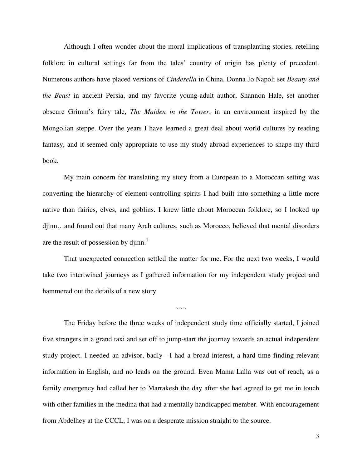Although I often wonder about the moral implications of transplanting stories, retelling folklore in cultural settings far from the tales' country of origin has plenty of precedent. Numerous authors have placed versions of *Cinderella* in China, Donna Jo Napoli set *Beauty and the Beast* in ancient Persia, and my favorite young-adult author, Shannon Hale, set another obscure Grimm's fairy tale, *The Maiden in the Tower*, in an environment inspired by the Mongolian steppe. Over the years I have learned a great deal about world cultures by reading fantasy, and it seemed only appropriate to use my study abroad experiences to shape my third book.

My main concern for translating my story from a European to a Moroccan setting was converting the hierarchy of element-controlling spirits I had built into something a little more native than fairies, elves, and goblins. I knew little about Moroccan folklore, so I looked up djinn…and found out that many Arab cultures, such as Morocco, believed that mental disorders are the result of possession by djinn. $<sup>1</sup>$ </sup>

That unexpected connection settled the matter for me. For the next two weeks, I would take two intertwined journeys as I gathered information for my independent study project and hammered out the details of a new story.

*~~~*

The Friday before the three weeks of independent study time officially started, I joined five strangers in a grand taxi and set off to jump-start the journey towards an actual independent study project. I needed an advisor, badly—I had a broad interest, a hard time finding relevant information in English, and no leads on the ground. Even Mama Lalla was out of reach, as a family emergency had called her to Marrakesh the day after she had agreed to get me in touch with other families in the medina that had a mentally handicapped member. With encouragement from Abdelhey at the CCCL, I was on a desperate mission straight to the source.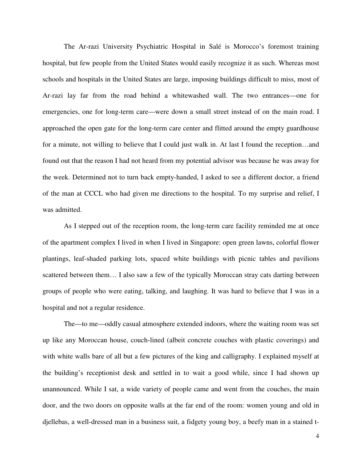The Ar-razi University Psychiatric Hospital in Salé is Morocco's foremost training hospital, but few people from the United States would easily recognize it as such. Whereas most schools and hospitals in the United States are large, imposing buildings difficult to miss, most of Ar-razi lay far from the road behind a whitewashed wall. The two entrances—one for emergencies, one for long-term care—were down a small street instead of on the main road. I approached the open gate for the long-term care center and flitted around the empty guardhouse for a minute, not willing to believe that I could just walk in. At last I found the reception…and found out that the reason I had not heard from my potential advisor was because he was away for the week. Determined not to turn back empty-handed, I asked to see a different doctor, a friend of the man at CCCL who had given me directions to the hospital. To my surprise and relief, I was admitted.

As I stepped out of the reception room, the long-term care facility reminded me at once of the apartment complex I lived in when I lived in Singapore: open green lawns, colorful flower plantings, leaf-shaded parking lots, spaced white buildings with picnic tables and pavilions scattered between them… I also saw a few of the typically Moroccan stray cats darting between groups of people who were eating, talking, and laughing. It was hard to believe that I was in a hospital and not a regular residence.

The—to me—oddly casual atmosphere extended indoors, where the waiting room was set up like any Moroccan house, couch-lined (albeit concrete couches with plastic coverings) and with white walls bare of all but a few pictures of the king and calligraphy. I explained myself at the building's receptionist desk and settled in to wait a good while, since I had shown up unannounced. While I sat, a wide variety of people came and went from the couches, the main door, and the two doors on opposite walls at the far end of the room: women young and old in djellebas, a well-dressed man in a business suit, a fidgety young boy, a beefy man in a stained t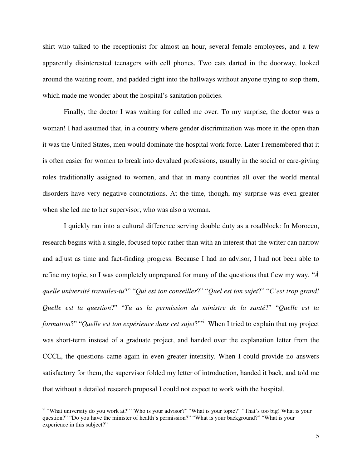shirt who talked to the receptionist for almost an hour, several female employees, and a few apparently disinterested teenagers with cell phones. Two cats darted in the doorway, looked around the waiting room, and padded right into the hallways without anyone trying to stop them, which made me wonder about the hospital's sanitation policies.

Finally, the doctor I was waiting for called me over. To my surprise, the doctor was a woman! I had assumed that, in a country where gender discrimination was more in the open than it was the United States, men would dominate the hospital work force. Later I remembered that it is often easier for women to break into devalued professions, usually in the social or care-giving roles traditionally assigned to women, and that in many countries all over the world mental disorders have very negative connotations. At the time, though, my surprise was even greater when she led me to her supervisor, who was also a woman.

I quickly ran into a cultural difference serving double duty as a roadblock: In Morocco, research begins with a single, focused topic rather than with an interest that the writer can narrow and adjust as time and fact-finding progress. Because I had no advisor, I had not been able to refine my topic, so I was completely unprepared for many of the questions that flew my way. "*À quelle université travailes-tu*?" "*Qui est ton conseiller*?" "*Quel est ton sujet*?" "*C'est trop grand! Quelle est ta question*?" "*Tu as la permission du ministre de la santé*?" "*Quelle est ta formation?"* "*Quelle est ton expérience dans cet sujet?*"<sup>i</sup> When I tried to explain that my project was short-term instead of a graduate project, and handed over the explanation letter from the CCCL, the questions came again in even greater intensity. When I could provide no answers satisfactory for them, the supervisor folded my letter of introduction, handed it back, and told me that without a detailed research proposal I could not expect to work with the hospital.

<sup>&</sup>lt;sup>vi</sup> "What university do you work at?" "Who is your advisor?" "What is your topic?" "That's too big! What is your question?" "Do you have the minister of health's permission?" "What is your background?" "What is your experience in this subject?"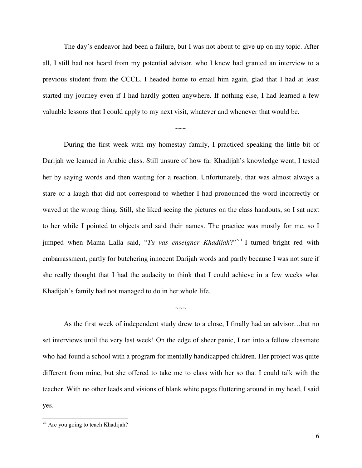The day's endeavor had been a failure, but I was not about to give up on my topic. After all, I still had not heard from my potential advisor, who I knew had granted an interview to a previous student from the CCCL. I headed home to email him again, glad that I had at least started my journey even if I had hardly gotten anywhere. If nothing else, I had learned a few valuable lessons that I could apply to my next visit, whatever and whenever that would be.

 $\sim\sim\sim$ 

During the first week with my homestay family, I practiced speaking the little bit of Darijah we learned in Arabic class. Still unsure of how far Khadijah's knowledge went, I tested her by saying words and then waiting for a reaction. Unfortunately, that was almost always a stare or a laugh that did not correspond to whether I had pronounced the word incorrectly or waved at the wrong thing. Still, she liked seeing the pictures on the class handouts, so I sat next to her while I pointed to objects and said their names. The practice was mostly for me, so I jumped when Mama Lalla said, "*Tu vas enseigner Khadijah*?"<sup>vii</sup> I turned bright red with embarrassment, partly for butchering innocent Darijah words and partly because I was not sure if she really thought that I had the audacity to think that I could achieve in a few weeks what Khadijah's family had not managed to do in her whole life.

As the first week of independent study drew to a close, I finally had an advisor…but no set interviews until the very last week! On the edge of sheer panic, I ran into a fellow classmate who had found a school with a program for mentally handicapped children. Her project was quite different from mine, but she offered to take me to class with her so that I could talk with the teacher. With no other leads and visions of blank white pages fluttering around in my head, I said yes.

 $\sim\sim\sim$ 

<sup>&</sup>lt;sup>vii</sup> Are you going to teach Khadijah?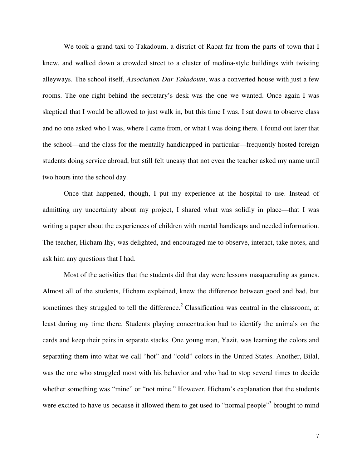We took a grand taxi to Takadoum, a district of Rabat far from the parts of town that I knew, and walked down a crowded street to a cluster of medina-style buildings with twisting alleyways. The school itself, *Association Dar Takadoum*, was a converted house with just a few rooms. The one right behind the secretary's desk was the one we wanted. Once again I was skeptical that I would be allowed to just walk in, but this time I was. I sat down to observe class and no one asked who I was, where I came from, or what I was doing there. I found out later that the school—and the class for the mentally handicapped in particular—frequently hosted foreign students doing service abroad, but still felt uneasy that not even the teacher asked my name until two hours into the school day.

Once that happened, though, I put my experience at the hospital to use. Instead of admitting my uncertainty about my project, I shared what was solidly in place—that I was writing a paper about the experiences of children with mental handicaps and needed information. The teacher, Hicham Ihy, was delighted, and encouraged me to observe, interact, take notes, and ask him any questions that I had.

Most of the activities that the students did that day were lessons masquerading as games. Almost all of the students, Hicham explained, knew the difference between good and bad, but sometimes they struggled to tell the difference.<sup>2</sup> Classification was central in the classroom, at least during my time there. Students playing concentration had to identify the animals on the cards and keep their pairs in separate stacks. One young man, Yazit, was learning the colors and separating them into what we call "hot" and "cold" colors in the United States. Another, Bilal, was the one who struggled most with his behavior and who had to stop several times to decide whether something was "mine" or "not mine." However, Hicham's explanation that the students were excited to have us because it allowed them to get used to "normal people"<sup>3</sup> brought to mind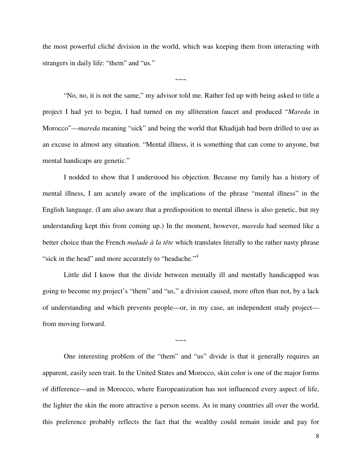the most powerful cliché division in the world, which was keeping them from interacting with strangers in daily life: "them" and "us."

 $\sim\sim\sim$ 

"No, no, it is not the same," my advisor told me. Rather fed up with being asked to title a project I had yet to begin, I had turned on my alliteration faucet and produced "*Mareda* in Morocco"—*mareda* meaning "sick" and being the world that Khadijah had been drilled to use as an excuse in almost any situation. "Mental illness, it is something that can come to anyone, but mental handicaps are genetic."

I nodded to show that I understood his objection. Because my family has a history of mental illness, I am acutely aware of the implications of the phrase "mental illness" in the English language. (I am also aware that a predisposition to mental illness is also genetic, but my understanding kept this from coming up.) In the moment, however, *mareda* had seemed like a better choice than the French *malade à la tête* which translates literally to the rather nasty phrase "sick in the head" and more accurately to "headache."<sup>4</sup>

Little did I know that the divide between mentally ill and mentally handicapped was going to become my project's "them" and "us," a division caused, more often than not, by a lack of understanding and which prevents people—or, in my case, an independent study project from moving forward.

 $\sim\sim\sim$ 

One interesting problem of the "them" and "us" divide is that it generally requires an apparent, easily seen trait. In the United States and Morocco, skin color is one of the major forms of difference—and in Morocco, where Europeanization has not influenced every aspect of life, the lighter the skin the more attractive a person seems. As in many countries all over the world, this preference probably reflects the fact that the wealthy could remain inside and pay for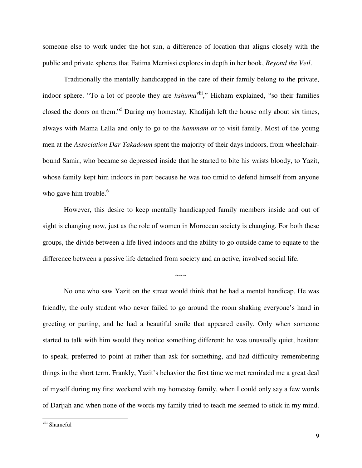someone else to work under the hot sun, a difference of location that aligns closely with the public and private spheres that Fatima Mernissi explores in depth in her book, *Beyond the Veil*.

Traditionally the mentally handicapped in the care of their family belong to the private, indoor sphere. "To a lot of people they are *hshuma*<sup>viii</sup>," Hicham explained, "so their families closed the doors on them."<sup>5</sup> During my homestay, Khadijah left the house only about six times, always with Mama Lalla and only to go to the *hammam* or to visit family. Most of the young men at the *Association Dar Takadoum* spent the majority of their days indoors, from wheelchairbound Samir, who became so depressed inside that he started to bite his wrists bloody, to Yazit, whose family kept him indoors in part because he was too timid to defend himself from anyone who gave him trouble.<sup>6</sup>

However, this desire to keep mentally handicapped family members inside and out of sight is changing now, just as the role of women in Moroccan society is changing. For both these groups, the divide between a life lived indoors and the ability to go outside came to equate to the difference between a passive life detached from society and an active, involved social life.

 $\sim\sim\sim$ 

No one who saw Yazit on the street would think that he had a mental handicap. He was friendly, the only student who never failed to go around the room shaking everyone's hand in greeting or parting, and he had a beautiful smile that appeared easily. Only when someone started to talk with him would they notice something different: he was unusually quiet, hesitant to speak, preferred to point at rather than ask for something, and had difficulty remembering things in the short term. Frankly, Yazit's behavior the first time we met reminded me a great deal of myself during my first weekend with my homestay family, when I could only say a few words of Darijah and when none of the words my family tried to teach me seemed to stick in my mind.

viii Shameful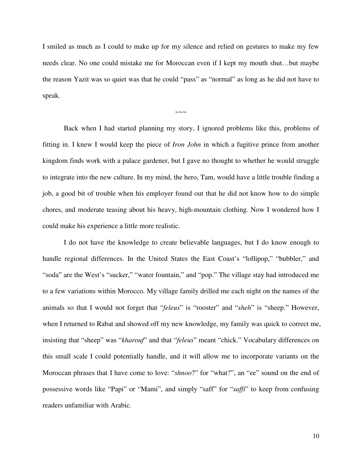I smiled as much as I could to make up for my silence and relied on gestures to make my few needs clear. No one could mistake me for Moroccan even if I kept my mouth shut…but maybe the reason Yazit was so quiet was that he could "pass" as "normal" as long as he did not have to speak.

 $\sim\sim\sim$ 

Back when I had started planning my story, I ignored problems like this, problems of fitting in. I knew I would keep the piece of *Iron John* in which a fugitive prince from another kingdom finds work with a palace gardener, but I gave no thought to whether he would struggle to integrate into the new culture. In my mind, the hero, Tam, would have a little trouble finding a job, a good bit of trouble when his employer found out that he did not know how to do simple chores, and moderate teasing about his heavy, high-mountain clothing. Now I wondered how I could make his experience a little more realistic.

I do not have the knowledge to create believable languages, but I do know enough to handle regional differences. In the United States the East Coast's "lollipop," "bubbler," and "soda" are the West's "sucker," "water fountain," and "pop." The village stay had introduced me to a few variations within Morocco. My village family drilled me each night on the names of the animals so that I would not forget that "*feleus*" is "rooster" and "*sheh*" is "sheep." However, when I returned to Rabat and showed off my new knowledge, my family was quick to correct me, insisting that "sheep" was "*kharouf*" and that "*feleus*" meant "chick." Vocabulary differences on this small scale I could potentially handle, and it will allow me to incorporate variants on the Moroccan phrases that I have come to love: "*shnoo*?" for "what?", an "ee" sound on the end of possessive words like "Papi" or "Mami", and simply "saff" for "*saffi*" to keep from confusing readers unfamiliar with Arabic.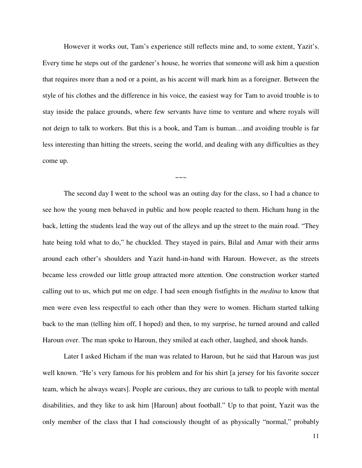However it works out, Tam's experience still reflects mine and, to some extent, Yazit's. Every time he steps out of the gardener's house, he worries that someone will ask him a question that requires more than a nod or a point, as his accent will mark him as a foreigner. Between the style of his clothes and the difference in his voice, the easiest way for Tam to avoid trouble is to stay inside the palace grounds, where few servants have time to venture and where royals will not deign to talk to workers. But this is a book, and Tam is human…and avoiding trouble is far less interesting than hitting the streets, seeing the world, and dealing with any difficulties as they come up.

 $\sim\sim\sim$ 

The second day I went to the school was an outing day for the class, so I had a chance to see how the young men behaved in public and how people reacted to them. Hicham hung in the back, letting the students lead the way out of the alleys and up the street to the main road. "They hate being told what to do," he chuckled. They stayed in pairs, Bilal and Amar with their arms around each other's shoulders and Yazit hand-in-hand with Haroun. However, as the streets became less crowded our little group attracted more attention. One construction worker started calling out to us, which put me on edge. I had seen enough fistfights in the *medina* to know that men were even less respectful to each other than they were to women. Hicham started talking back to the man (telling him off, I hoped) and then, to my surprise, he turned around and called Haroun over. The man spoke to Haroun, they smiled at each other, laughed, and shook hands.

Later I asked Hicham if the man was related to Haroun, but he said that Haroun was just well known. "He's very famous for his problem and for his shirt [a jersey for his favorite soccer team, which he always wears]. People are curious, they are curious to talk to people with mental disabilities, and they like to ask him [Haroun] about football." Up to that point, Yazit was the only member of the class that I had consciously thought of as physically "normal," probably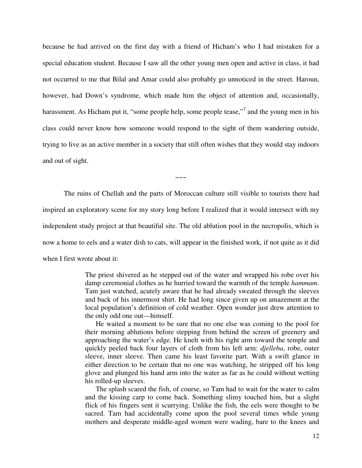because he had arrived on the first day with a friend of Hicham's who I had mistaken for a special education student. Because I saw all the other young men open and active in class, it had not occurred to me that Bilal and Amar could also probably go unnoticed in the street. Haroun, however, had Down's syndrome, which made him the object of attention and, occasionally, harassment. As Hicham put it, "some people help, some people tease,"<sup>7</sup> and the young men in his class could never know how someone would respond to the sight of them wandering outside, trying to live as an active member in a society that still often wishes that they would stay indoors and out of sight.

The ruins of Chellah and the parts of Moroccan culture still visible to tourists there had inspired an exploratory scene for my story long before I realized that it would intersect with my independent study project at that beautiful site. The old ablution pool in the necropolis, which is now a home to eels and a water dish to cats, will appear in the finished work, if not quite as it did when I first wrote about it:

 $\sim$ ~~

The priest shivered as he stepped out of the water and wrapped his robe over his damp ceremonial clothes as he hurried toward the warmth of the temple *hammam*. Tam just watched, acutely aware that he had already sweated through the sleeves and back of his innermost shirt. He had long since given up on amazement at the local population's definition of cold weather. Open wonder just drew attention to the only odd one out—himself.

He waited a moment to be sure that no one else was coming to the pool for their morning ablutions before stepping from behind the screen of greenery and approaching the water's edge. He knelt with his right arm toward the temple and quickly peeled back four layers of cloth from his left arm: *djelleba*, robe, outer sleeve, inner sleeve. Then came his least favorite part. With a swift glance in either direction to be certain that no one was watching, he stripped off his long glove and plunged his hand arm into the water as far as he could without wetting his rolled-up sleeves.

The splash scared the fish, of course, so Tam had to wait for the water to calm and the kissing carp to come back. Something slimy touched him, but a slight flick of his fingers sent it scurrying. Unlike the fish, the eels were thought to be sacred. Tam had accidentally come upon the pool several times while young mothers and desperate middle-aged women were wading, bare to the knees and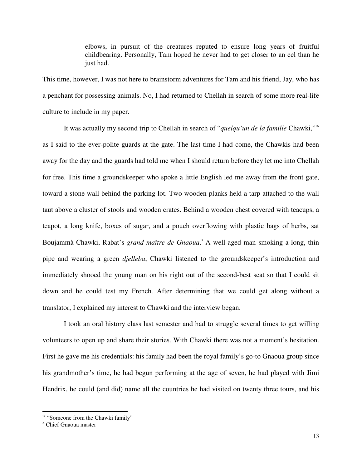elbows, in pursuit of the creatures reputed to ensure long years of fruitful childbearing. Personally, Tam hoped he never had to get closer to an eel than he just had.

This time, however, I was not here to brainstorm adventures for Tam and his friend, Jay, who has a penchant for possessing animals. No, I had returned to Chellah in search of some more real-life culture to include in my paper.

It was actually my second trip to Chellah in search of "*quelqu'un de la famille* Chawki,"ix as I said to the ever-polite guards at the gate. The last time I had come, the Chawkis had been away for the day and the guards had told me when I should return before they let me into Chellah for free. This time a groundskeeper who spoke a little English led me away from the front gate, toward a stone wall behind the parking lot. Two wooden planks held a tarp attached to the wall taut above a cluster of stools and wooden crates. Behind a wooden chest covered with teacups, a teapot, a long knife, boxes of sugar, and a pouch overflowing with plastic bags of herbs, sat Boujammà Chawki, Rabat's *grand maître de Gnaoua*.<sup>x</sup> A well-aged man smoking a long, thin pipe and wearing a green *djelleba*, Chawki listened to the groundskeeper's introduction and immediately shooed the young man on his right out of the second-best seat so that I could sit down and he could test my French. After determining that we could get along without a translator, I explained my interest to Chawki and the interview began.

I took an oral history class last semester and had to struggle several times to get willing volunteers to open up and share their stories. With Chawki there was not a moment's hesitation. First he gave me his credentials: his family had been the royal family's go-to Gnaoua group since his grandmother's time, he had begun performing at the age of seven, he had played with Jimi Hendrix, he could (and did) name all the countries he had visited on twenty three tours, and his

<sup>&</sup>lt;sup>ix</sup> "Someone from the Chawki family"

x Chief Gnaoua master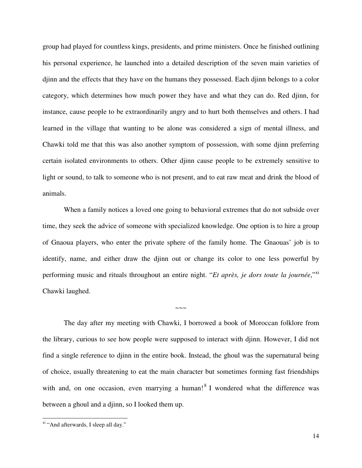group had played for countless kings, presidents, and prime ministers. Once he finished outlining his personal experience, he launched into a detailed description of the seven main varieties of djinn and the effects that they have on the humans they possessed. Each djinn belongs to a color category, which determines how much power they have and what they can do. Red djinn, for instance, cause people to be extraordinarily angry and to hurt both themselves and others. I had learned in the village that wanting to be alone was considered a sign of mental illness, and Chawki told me that this was also another symptom of possession, with some djinn preferring certain isolated environments to others. Other djinn cause people to be extremely sensitive to light or sound, to talk to someone who is not present, and to eat raw meat and drink the blood of animals.

When a family notices a loved one going to behavioral extremes that do not subside over time, they seek the advice of someone with specialized knowledge. One option is to hire a group of Gnaoua players, who enter the private sphere of the family home. The Gnaouas' job is to identify, name, and either draw the djinn out or change its color to one less powerful by performing music and rituals throughout an entire night. "Et après, je dors toute la journée,"xi Chawki laughed.

The day after my meeting with Chawki, I borrowed a book of Moroccan folklore from the library, curious to see how people were supposed to interact with djinn. However, I did not find a single reference to djinn in the entire book. Instead, the ghoul was the supernatural being of choice, usually threatening to eat the main character but sometimes forming fast friendships with and, on one occasion, even marrying a human!<sup>8</sup> I wondered what the difference was between a ghoul and a djinn, so I looked them up.

 $\sim\sim\sim$ 

xi "And afterwards, I sleep all day."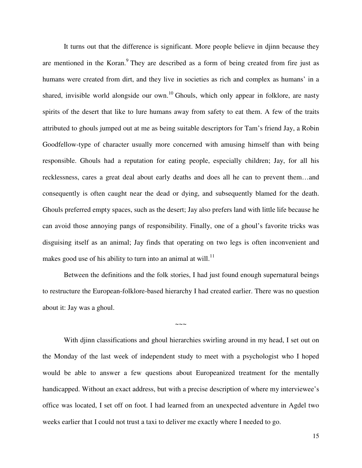It turns out that the difference is significant. More people believe in djinn because they are mentioned in the Koran.<sup>9</sup> They are described as a form of being created from fire just as humans were created from dirt, and they live in societies as rich and complex as humans' in a shared, invisible world alongside our own.<sup>10</sup> Ghouls, which only appear in folklore, are nasty spirits of the desert that like to lure humans away from safety to eat them. A few of the traits attributed to ghouls jumped out at me as being suitable descriptors for Tam's friend Jay, a Robin Goodfellow-type of character usually more concerned with amusing himself than with being responsible. Ghouls had a reputation for eating people, especially children; Jay, for all his recklessness, cares a great deal about early deaths and does all he can to prevent them…and consequently is often caught near the dead or dying, and subsequently blamed for the death. Ghouls preferred empty spaces, such as the desert; Jay also prefers land with little life because he can avoid those annoying pangs of responsibility. Finally, one of a ghoul's favorite tricks was disguising itself as an animal; Jay finds that operating on two legs is often inconvenient and makes good use of his ability to turn into an animal at will.<sup>11</sup>

Between the definitions and the folk stories, I had just found enough supernatural beings to restructure the European-folklore-based hierarchy I had created earlier. There was no question about it: Jay was a ghoul.

 $\sim\sim\sim$ 

With djinn classifications and ghoul hierarchies swirling around in my head, I set out on the Monday of the last week of independent study to meet with a psychologist who I hoped would be able to answer a few questions about Europeanized treatment for the mentally handicapped. Without an exact address, but with a precise description of where my interviewee's office was located, I set off on foot. I had learned from an unexpected adventure in Agdel two weeks earlier that I could not trust a taxi to deliver me exactly where I needed to go.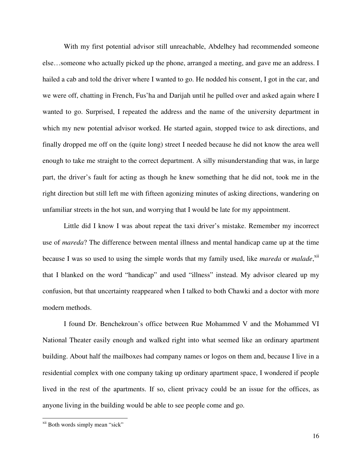With my first potential advisor still unreachable, Abdelhey had recommended someone else…someone who actually picked up the phone, arranged a meeting, and gave me an address. I hailed a cab and told the driver where I wanted to go. He nodded his consent, I got in the car, and we were off, chatting in French, Fus'ha and Darijah until he pulled over and asked again where I wanted to go. Surprised, I repeated the address and the name of the university department in which my new potential advisor worked. He started again, stopped twice to ask directions, and finally dropped me off on the (quite long) street I needed because he did not know the area well enough to take me straight to the correct department. A silly misunderstanding that was, in large part, the driver's fault for acting as though he knew something that he did not, took me in the right direction but still left me with fifteen agonizing minutes of asking directions, wandering on unfamiliar streets in the hot sun, and worrying that I would be late for my appointment.

Little did I know I was about repeat the taxi driver's mistake. Remember my incorrect use of *mareda*? The difference between mental illness and mental handicap came up at the time because I was so used to using the simple words that my family used, like *mareda* or *malade*,<sup>xii</sup> that I blanked on the word "handicap" and used "illness" instead. My advisor cleared up my confusion, but that uncertainty reappeared when I talked to both Chawki and a doctor with more modern methods.

I found Dr. Benchekroun's office between Rue Mohammed V and the Mohammed VI National Theater easily enough and walked right into what seemed like an ordinary apartment building. About half the mailboxes had company names or logos on them and, because I live in a residential complex with one company taking up ordinary apartment space, I wondered if people lived in the rest of the apartments. If so, client privacy could be an issue for the offices, as anyone living in the building would be able to see people come and go.

xii Both words simply mean "sick"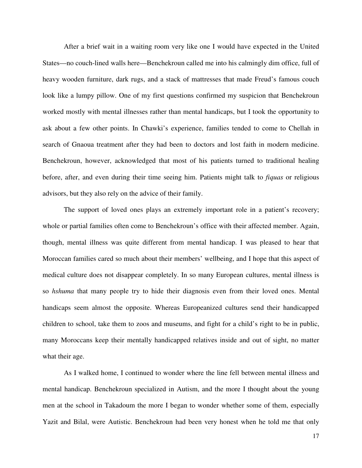After a brief wait in a waiting room very like one I would have expected in the United States—no couch-lined walls here—Benchekroun called me into his calmingly dim office, full of heavy wooden furniture, dark rugs, and a stack of mattresses that made Freud's famous couch look like a lumpy pillow. One of my first questions confirmed my suspicion that Benchekroun worked mostly with mental illnesses rather than mental handicaps, but I took the opportunity to ask about a few other points. In Chawki's experience, families tended to come to Chellah in search of Gnaoua treatment after they had been to doctors and lost faith in modern medicine. Benchekroun, however, acknowledged that most of his patients turned to traditional healing before, after, and even during their time seeing him. Patients might talk to *fiquas* or religious advisors, but they also rely on the advice of their family.

The support of loved ones plays an extremely important role in a patient's recovery; whole or partial families often come to Benchekroun's office with their affected member. Again, though, mental illness was quite different from mental handicap. I was pleased to hear that Moroccan families cared so much about their members' wellbeing, and I hope that this aspect of medical culture does not disappear completely. In so many European cultures, mental illness is so *hshuma* that many people try to hide their diagnosis even from their loved ones. Mental handicaps seem almost the opposite. Whereas Europeanized cultures send their handicapped children to school, take them to zoos and museums, and fight for a child's right to be in public, many Moroccans keep their mentally handicapped relatives inside and out of sight, no matter what their age.

As I walked home, I continued to wonder where the line fell between mental illness and mental handicap. Benchekroun specialized in Autism, and the more I thought about the young men at the school in Takadoum the more I began to wonder whether some of them, especially Yazit and Bilal, were Autistic. Benchekroun had been very honest when he told me that only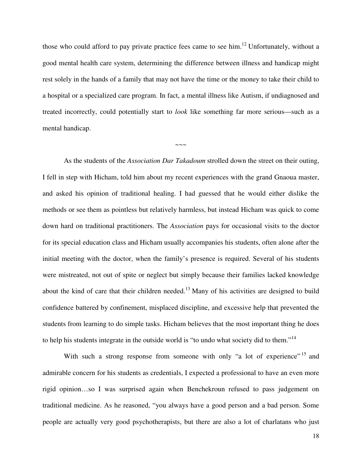those who could afford to pay private practice fees came to see him.<sup>12</sup> Unfortunately, without a good mental health care system, determining the difference between illness and handicap might rest solely in the hands of a family that may not have the time or the money to take their child to a hospital or a specialized care program. In fact, a mental illness like Autism, if undiagnosed and treated incorrectly, could potentially start to *look* like something far more serious—such as a mental handicap.

 $\sim\sim\sim$ 

As the students of the *Association Dar Takadoum* strolled down the street on their outing, I fell in step with Hicham, told him about my recent experiences with the grand Gnaoua master, and asked his opinion of traditional healing. I had guessed that he would either dislike the methods or see them as pointless but relatively harmless, but instead Hicham was quick to come down hard on traditional practitioners. The *Association* pays for occasional visits to the doctor for its special education class and Hicham usually accompanies his students, often alone after the initial meeting with the doctor, when the family's presence is required. Several of his students were mistreated, not out of spite or neglect but simply because their families lacked knowledge about the kind of care that their children needed.<sup>13</sup> Many of his activities are designed to build confidence battered by confinement, misplaced discipline, and excessive help that prevented the students from learning to do simple tasks. Hicham believes that the most important thing he does to help his students integrate in the outside world is "to undo what society did to them."<sup>14</sup>

With such a strong response from someone with only "a lot of experience" <sup>15</sup> and admirable concern for his students as credentials, I expected a professional to have an even more rigid opinion…so I was surprised again when Benchekroun refused to pass judgement on traditional medicine. As he reasoned, "you always have a good person and a bad person. Some people are actually very good psychotherapists, but there are also a lot of charlatans who just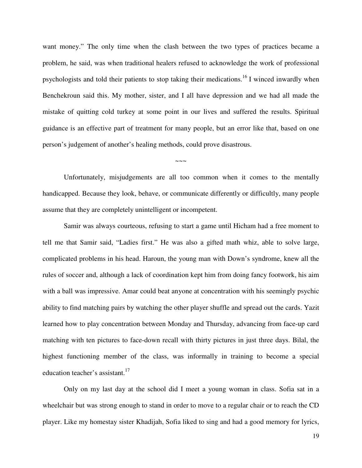want money." The only time when the clash between the two types of practices became a problem, he said, was when traditional healers refused to acknowledge the work of professional psychologists and told their patients to stop taking their medications.<sup>16</sup> I winced inwardly when Benchekroun said this. My mother, sister, and I all have depression and we had all made the mistake of quitting cold turkey at some point in our lives and suffered the results. Spiritual guidance is an effective part of treatment for many people, but an error like that, based on one person's judgement of another's healing methods, could prove disastrous.

Unfortunately, misjudgements are all too common when it comes to the mentally handicapped. Because they look, behave, or communicate differently or difficultly, many people assume that they are completely unintelligent or incompetent.

 $\sim\sim\sim$ 

Samir was always courteous, refusing to start a game until Hicham had a free moment to tell me that Samir said, "Ladies first." He was also a gifted math whiz, able to solve large, complicated problems in his head. Haroun, the young man with Down's syndrome, knew all the rules of soccer and, although a lack of coordination kept him from doing fancy footwork, his aim with a ball was impressive. Amar could beat anyone at concentration with his seemingly psychic ability to find matching pairs by watching the other player shuffle and spread out the cards. Yazit learned how to play concentration between Monday and Thursday, advancing from face-up card matching with ten pictures to face-down recall with thirty pictures in just three days. Bilal, the highest functioning member of the class, was informally in training to become a special education teacher's assistant.<sup>17</sup>

Only on my last day at the school did I meet a young woman in class. Sofia sat in a wheelchair but was strong enough to stand in order to move to a regular chair or to reach the CD player. Like my homestay sister Khadijah, Sofia liked to sing and had a good memory for lyrics,

19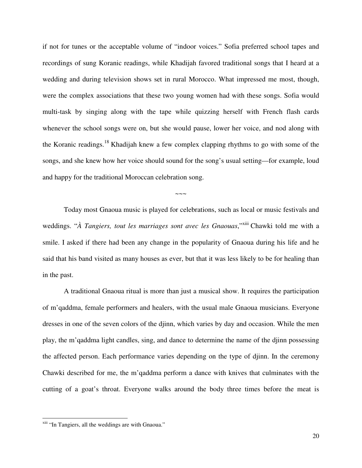if not for tunes or the acceptable volume of "indoor voices." Sofia preferred school tapes and recordings of sung Koranic readings, while Khadijah favored traditional songs that I heard at a wedding and during television shows set in rural Morocco. What impressed me most, though, were the complex associations that these two young women had with these songs. Sofia would multi-task by singing along with the tape while quizzing herself with French flash cards whenever the school songs were on, but she would pause, lower her voice, and nod along with the Koranic readings.<sup>18</sup> Khadijah knew a few complex clapping rhythms to go with some of the songs, and she knew how her voice should sound for the song's usual setting—for example, loud and happy for the traditional Moroccan celebration song.

Today most Gnaoua music is played for celebrations, such as local or music festivals and weddings. "A *Tangiers, tout les marriages sont avec les Gnaouas*,"<sup>xiii</sup> Chawki told me with a smile. I asked if there had been any change in the popularity of Gnaoua during his life and he said that his band visited as many houses as ever, but that it was less likely to be for healing than in the past.

 $\sim\sim\sim$ 

A traditional Gnaoua ritual is more than just a musical show. It requires the participation of m'qaddma, female performers and healers, with the usual male Gnaoua musicians. Everyone dresses in one of the seven colors of the djinn, which varies by day and occasion. While the men play, the m'qaddma light candles, sing, and dance to determine the name of the djinn possessing the affected person. Each performance varies depending on the type of djinn. In the ceremony Chawki described for me, the m'qaddma perform a dance with knives that culminates with the cutting of a goat's throat. Everyone walks around the body three times before the meat is

<sup>&</sup>lt;sup>xiii</sup> "In Tangiers, all the weddings are with Gnaoua."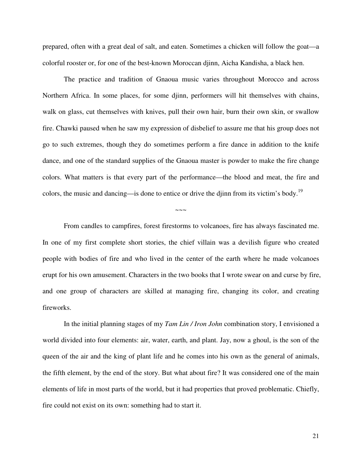prepared, often with a great deal of salt, and eaten. Sometimes a chicken will follow the goat—a colorful rooster or, for one of the best-known Moroccan djinn, Aicha Kandisha, a black hen.

The practice and tradition of Gnaoua music varies throughout Morocco and across Northern Africa. In some places, for some djinn, performers will hit themselves with chains, walk on glass, cut themselves with knives, pull their own hair, burn their own skin, or swallow fire. Chawki paused when he saw my expression of disbelief to assure me that his group does not go to such extremes, though they do sometimes perform a fire dance in addition to the knife dance, and one of the standard supplies of the Gnaoua master is powder to make the fire change colors. What matters is that every part of the performance—the blood and meat, the fire and colors, the music and dancing—is done to entice or drive the djinn from its victim's body.<sup>19</sup>

 $\sim\sim\sim$ 

From candles to campfires, forest firestorms to volcanoes, fire has always fascinated me. In one of my first complete short stories, the chief villain was a devilish figure who created people with bodies of fire and who lived in the center of the earth where he made volcanoes erupt for his own amusement. Characters in the two books that I wrote swear on and curse by fire, and one group of characters are skilled at managing fire, changing its color, and creating fireworks.

In the initial planning stages of my *Tam Lin / Iron John* combination story, I envisioned a world divided into four elements: air, water, earth, and plant. Jay, now a ghoul, is the son of the queen of the air and the king of plant life and he comes into his own as the general of animals, the fifth element, by the end of the story. But what about fire? It was considered one of the main elements of life in most parts of the world, but it had properties that proved problematic. Chiefly, fire could not exist on its own: something had to start it.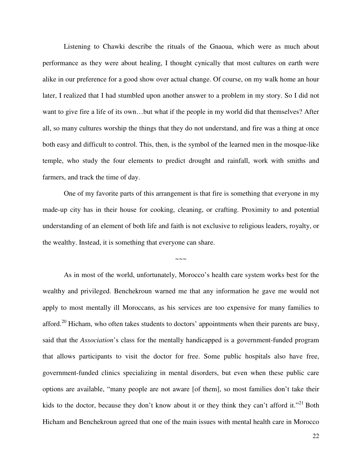Listening to Chawki describe the rituals of the Gnaoua, which were as much about performance as they were about healing, I thought cynically that most cultures on earth were alike in our preference for a good show over actual change. Of course, on my walk home an hour later, I realized that I had stumbled upon another answer to a problem in my story. So I did not want to give fire a life of its own…but what if the people in my world did that themselves? After all, so many cultures worship the things that they do not understand, and fire was a thing at once both easy and difficult to control. This, then, is the symbol of the learned men in the mosque-like temple, who study the four elements to predict drought and rainfall, work with smiths and farmers, and track the time of day.

One of my favorite parts of this arrangement is that fire is something that everyone in my made-up city has in their house for cooking, cleaning, or crafting. Proximity to and potential understanding of an element of both life and faith is not exclusive to religious leaders, royalty, or the wealthy. Instead, it is something that everyone can share.

~~~~~

As in most of the world, unfortunately, Morocco's health care system works best for the wealthy and privileged. Benchekroun warned me that any information he gave me would not apply to most mentally ill Moroccans, as his services are too expensive for many families to afford.<sup>20</sup> Hicham, who often takes students to doctors' appointments when their parents are busy, said that the *Association*'s class for the mentally handicapped is a government-funded program that allows participants to visit the doctor for free. Some public hospitals also have free, government-funded clinics specializing in mental disorders, but even when these public care options are available, "many people are not aware [of them], so most families don't take their kids to the doctor, because they don't know about it or they think they can't afford it."<sup>21</sup> Both Hicham and Benchekroun agreed that one of the main issues with mental health care in Morocco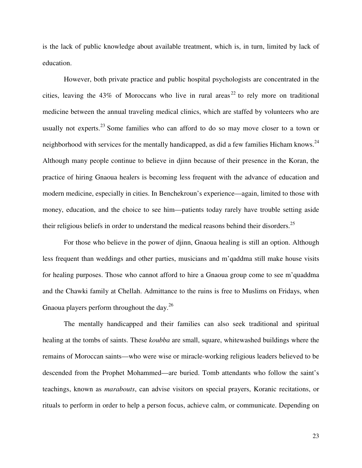is the lack of public knowledge about available treatment, which is, in turn, limited by lack of education.

However, both private practice and public hospital psychologists are concentrated in the cities, leaving the 43% of Moroccans who live in rural areas<sup>22</sup> to rely more on traditional medicine between the annual traveling medical clinics, which are staffed by volunteers who are usually not experts. $^{23}$  Some families who can afford to do so may move closer to a town or neighborhood with services for the mentally handicapped, as did a few families Hicham knows.<sup>24</sup> Although many people continue to believe in djinn because of their presence in the Koran, the practice of hiring Gnaoua healers is becoming less frequent with the advance of education and modern medicine, especially in cities. In Benchekroun's experience—again, limited to those with money, education, and the choice to see him—patients today rarely have trouble setting aside their religious beliefs in order to understand the medical reasons behind their disorders.<sup>25</sup>

For those who believe in the power of djinn, Gnaoua healing is still an option. Although less frequent than weddings and other parties, musicians and m'qaddma still make house visits for healing purposes. Those who cannot afford to hire a Gnaoua group come to see m'quaddma and the Chawki family at Chellah. Admittance to the ruins is free to Muslims on Fridays, when Gnaoua players perform throughout the day.<sup>26</sup>

The mentally handicapped and their families can also seek traditional and spiritual healing at the tombs of saints. These *koubba* are small, square, whitewashed buildings where the remains of Moroccan saints—who were wise or miracle-working religious leaders believed to be descended from the Prophet Mohammed—are buried. Tomb attendants who follow the saint's teachings, known as *marabouts*, can advise visitors on special prayers, Koranic recitations, or rituals to perform in order to help a person focus, achieve calm, or communicate. Depending on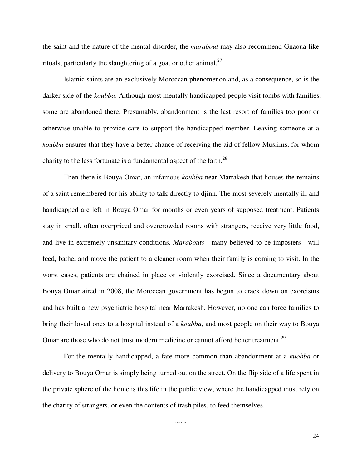the saint and the nature of the mental disorder, the *marabout* may also recommend Gnaoua-like rituals, particularly the slaughtering of a goat or other animal.<sup>27</sup>

Islamic saints are an exclusively Moroccan phenomenon and, as a consequence, so is the darker side of the *koubba*. Although most mentally handicapped people visit tombs with families, some are abandoned there. Presumably, abandonment is the last resort of families too poor or otherwise unable to provide care to support the handicapped member. Leaving someone at a *koubba* ensures that they have a better chance of receiving the aid of fellow Muslims, for whom charity to the less fortunate is a fundamental aspect of the faith.<sup>28</sup>

Then there is Bouya Omar, an infamous *koubba* near Marrakesh that houses the remains of a saint remembered for his ability to talk directly to djinn. The most severely mentally ill and handicapped are left in Bouya Omar for months or even years of supposed treatment. Patients stay in small, often overpriced and overcrowded rooms with strangers, receive very little food, and live in extremely unsanitary conditions. *Marabouts*—many believed to be imposters—will feed, bathe, and move the patient to a cleaner room when their family is coming to visit. In the worst cases, patients are chained in place or violently exorcised. Since a documentary about Bouya Omar aired in 2008, the Moroccan government has begun to crack down on exorcisms and has built a new psychiatric hospital near Marrakesh. However, no one can force families to bring their loved ones to a hospital instead of a *koubba*, and most people on their way to Bouya Omar are those who do not trust modern medicine or cannot afford better treatment.<sup>29</sup>

For the mentally handicapped, a fate more common than abandonment at a *kuobba* or delivery to Bouya Omar is simply being turned out on the street. On the flip side of a life spent in the private sphere of the home is this life in the public view, where the handicapped must rely on the charity of strangers, or even the contents of trash piles, to feed themselves.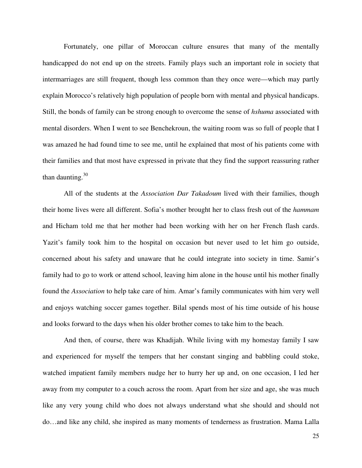Fortunately, one pillar of Moroccan culture ensures that many of the mentally handicapped do not end up on the streets. Family plays such an important role in society that intermarriages are still frequent, though less common than they once were—which may partly explain Morocco's relatively high population of people born with mental and physical handicaps. Still, the bonds of family can be strong enough to overcome the sense of *hshuma* associated with mental disorders. When I went to see Benchekroun, the waiting room was so full of people that I was amazed he had found time to see me, until he explained that most of his patients come with their families and that most have expressed in private that they find the support reassuring rather than daunting. $30$ 

All of the students at the *Association Dar Takadoum* lived with their families, though their home lives were all different. Sofia's mother brought her to class fresh out of the *hammam* and Hicham told me that her mother had been working with her on her French flash cards. Yazit's family took him to the hospital on occasion but never used to let him go outside, concerned about his safety and unaware that he could integrate into society in time. Samir's family had to go to work or attend school, leaving him alone in the house until his mother finally found the *Association* to help take care of him. Amar's family communicates with him very well and enjoys watching soccer games together. Bilal spends most of his time outside of his house and looks forward to the days when his older brother comes to take him to the beach.

And then, of course, there was Khadijah. While living with my homestay family I saw and experienced for myself the tempers that her constant singing and babbling could stoke, watched impatient family members nudge her to hurry her up and, on one occasion, I led her away from my computer to a couch across the room. Apart from her size and age, she was much like any very young child who does not always understand what she should and should not do…and like any child, she inspired as many moments of tenderness as frustration. Mama Lalla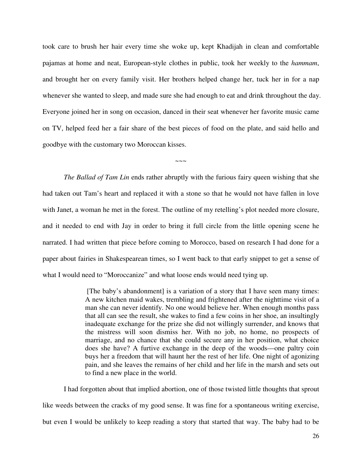took care to brush her hair every time she woke up, kept Khadijah in clean and comfortable pajamas at home and neat, European-style clothes in public, took her weekly to the *hammam*, and brought her on every family visit. Her brothers helped change her, tuck her in for a nap whenever she wanted to sleep, and made sure she had enough to eat and drink throughout the day. Everyone joined her in song on occasion, danced in their seat whenever her favorite music came on TV, helped feed her a fair share of the best pieces of food on the plate, and said hello and goodbye with the customary two Moroccan kisses.

 $\sim\sim\sim$ 

*The Ballad of Tam Lin* ends rather abruptly with the furious fairy queen wishing that she had taken out Tam's heart and replaced it with a stone so that he would not have fallen in love with Janet, a woman he met in the forest. The outline of my retelling's plot needed more closure, and it needed to end with Jay in order to bring it full circle from the little opening scene he narrated. I had written that piece before coming to Morocco, based on research I had done for a paper about fairies in Shakespearean times, so I went back to that early snippet to get a sense of what I would need to "Moroccanize" and what loose ends would need tying up.

> [The baby's abandonment] is a variation of a story that I have seen many times: A new kitchen maid wakes, trembling and frightened after the nighttime visit of a man she can never identify. No one would believe her. When enough months pass that all can see the result, she wakes to find a few coins in her shoe, an insultingly inadequate exchange for the prize she did not willingly surrender, and knows that the mistress will soon dismiss her. With no job, no home, no prospects of marriage, and no chance that she could secure any in her position, what choice does she have? A furtive exchange in the deep of the woods—one paltry coin buys her a freedom that will haunt her the rest of her life. One night of agonizing pain, and she leaves the remains of her child and her life in the marsh and sets out to find a new place in the world.

I had forgotten about that implied abortion, one of those twisted little thoughts that sprout like weeds between the cracks of my good sense. It was fine for a spontaneous writing exercise, but even I would be unlikely to keep reading a story that started that way. The baby had to be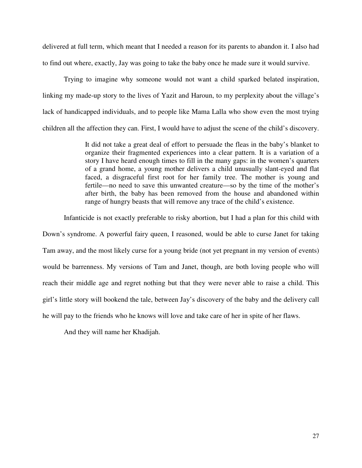delivered at full term, which meant that I needed a reason for its parents to abandon it. I also had to find out where, exactly, Jay was going to take the baby once he made sure it would survive.

Trying to imagine why someone would not want a child sparked belated inspiration, linking my made-up story to the lives of Yazit and Haroun, to my perplexity about the village's lack of handicapped individuals, and to people like Mama Lalla who show even the most trying children all the affection they can. First, I would have to adjust the scene of the child's discovery.

> It did not take a great deal of effort to persuade the fleas in the baby's blanket to organize their fragmented experiences into a clear pattern. It is a variation of a story I have heard enough times to fill in the many gaps: in the women's quarters of a grand home, a young mother delivers a child unusually slant-eyed and flat faced, a disgraceful first root for her family tree. The mother is young and fertile—no need to save this unwanted creature—so by the time of the mother's after birth, the baby has been removed from the house and abandoned within range of hungry beasts that will remove any trace of the child's existence.

Infanticide is not exactly preferable to risky abortion, but I had a plan for this child with Down's syndrome. A powerful fairy queen, I reasoned, would be able to curse Janet for taking Tam away, and the most likely curse for a young bride (not yet pregnant in my version of events) would be barrenness. My versions of Tam and Janet, though, are both loving people who will reach their middle age and regret nothing but that they were never able to raise a child. This girl's little story will bookend the tale, between Jay's discovery of the baby and the delivery call he will pay to the friends who he knows will love and take care of her in spite of her flaws.

And they will name her Khadijah.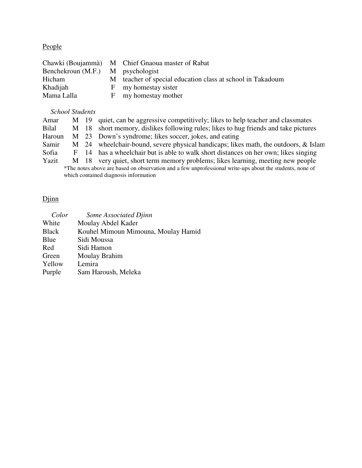## People

|                                   | Chawki (Boujammà) M Chief Gnaoua master of Rabat           |
|-----------------------------------|------------------------------------------------------------|
| Benchekroun (M.F.) M psychologist |                                                            |
| Hicham                            | M teacher of special education class at school in Takadoum |
| Khadijah                          | F my homestay sister                                       |
| Mama Lalla                        | F my homestay mother                                       |

## *School Students*

| Amar                                                                                                     |  |  | M 19 quiet, can be aggressive competitively; likes to help teacher and classmates   |  |
|----------------------------------------------------------------------------------------------------------|--|--|-------------------------------------------------------------------------------------|--|
| Bilal                                                                                                    |  |  | M 18 short memory, dislikes following rules; likes to hug friends and take pictures |  |
| Haroun                                                                                                   |  |  | M 23 Down's syndrome; likes soccer, jokes, and eating                               |  |
| Samir                                                                                                    |  |  | M 24 wheelchair-bound, severe physical handicaps; likes math, the outdoors, & Islam |  |
| Sofia                                                                                                    |  |  | F 14 has a wheelchair but is able to walk short distances on her own; likes singing |  |
| Yazit                                                                                                    |  |  | M 18 very quiet, short term memory problems; likes learning, meeting new people     |  |
| *The notes above are based on observation and a few unprofessional write-ups about the students, none of |  |  |                                                                                     |  |
| which contained diagnosis information                                                                    |  |  |                                                                                     |  |

# Djinn

| Color        | Some Associated Djinn               |
|--------------|-------------------------------------|
| White        | Moulay Abdel Kader                  |
| <b>Black</b> | Kouhel Mimoun Mimouna, Moulay Hamid |
| Blue         | Sidi Moussa                         |
| Red          | Sidi Hamon                          |
| Green        | Moulay Brahim                       |
| Yellow       | Lemira                              |
| Purple       | Sam Haroush, Meleka                 |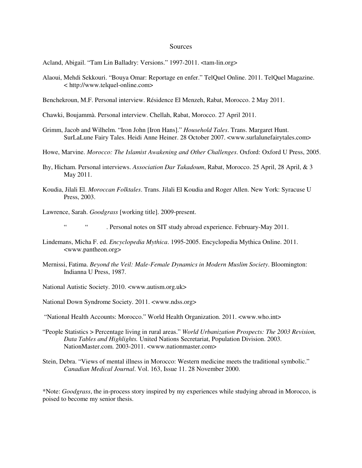#### **Sources**

Acland, Abigail. "Tam Lin Balladry: Versions." 1997-2011. <tam-lin.org>

- Alaoui, Mehdi Sekkouri. "Bouya Omar: Reportage en enfer." TelQuel Online. 2011. TelQuel Magazine. < http://www.telquel-online.com>
- Benchekroun, M.F. Personal interview. Résidence El Menzeh, Rabat, Morocco. 2 May 2011.
- Chawki, Boujammà. Personal interview. Chellah, Rabat, Morocco. 27 April 2011.
- Grimm, Jacob and Wilhelm. "Iron John [Iron Hans]." *Household Tales*. Trans. Margaret Hunt. SurLaLune Fairy Tales. Heidi Anne Heiner. 28 October 2007. <www.surlalunefairytales.com>
- Howe, Marvine. *Morocco: The Islamist Awakening and Other Challenges*. Oxford: Oxford U Press, 2005.
- Ihy, Hicham. Personal interviews. *Association Dar Takadoum*, Rabat, Morocco. 25 April, 28 April, & 3 May 2011.
- Koudia, Jilali El. *Moroccan Folktales*. Trans. Jilali El Koudia and Roger Allen. New York: Syracuse U Press, 2003.
- Lawrence, Sarah. *Goodgrass* [working title]. 2009-present.
	- " " . Personal notes on SIT study abroad experience. February-May 2011.
- Lindemans, Micha F. ed. *Encyclopedia Mythica*. 1995-2005. Encyclopedia Mythica Online. 2011. <www.pantheon.org>
- Mernissi, Fatima. *Beyond the Veil: Male-Female Dynamics in Modern Muslim Society*. Bloomington: Indianna U Press, 1987.
- National Autistic Society. 2010. <www.autism.org.uk>
- National Down Syndrome Society. 2011. <www.ndss.org>
- "National Health Accounts: Morocco." World Health Organization. 2011. <www.who.int>
- "People Statistics > Percentage living in rural areas." *World Urbanization Prospects: The 2003 Revision, Data Tables and Highlights.* United Nations Secretariat, Population Division. 2003. NationMaster.com. 2003-2011. <www.nationmaster.com>
- Stein, Debra. "Views of mental illness in Morocco: Western medicine meets the traditional symbolic." *Canadian Medical Journal*. Vol. 163, Issue 11. 28 November 2000.

\*Note: *Goodgrass*, the in-process story inspired by my experiences while studying abroad in Morocco, is poised to become my senior thesis.